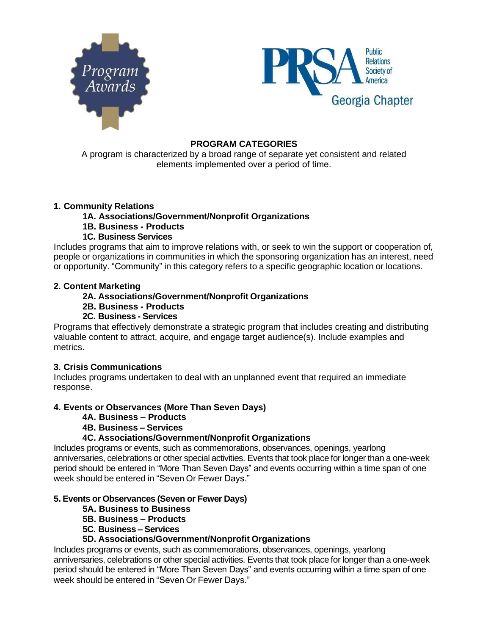



## **PROGRAM CATEGORIES**

A program is characterized by a broad range of separate yet consistent and related elements implemented over a period of time.

## **1. Community Relations**

- **1A. Associations/Government/Nonprofit Organizations**
- **1B. Business - Products**
- **1C. Business Services**

Includes programs that aim to improve relations with, or seek to win the support or cooperation of, people or organizations in communities in which the sponsoring organization has an interest, need or opportunity. "Community" in this category refers to a specific geographic location or locations.

## **2. Content Marketing**

## **2A. Associations/Government/Nonprofit Organizations**

- **2B. Business - Products**
- **2C. Business - Services**

Programs that effectively demonstrate a strategic program that includes creating and distributing valuable content to attract, acquire, and engage target audience(s). Include examples and metrics.

## **3. Crisis Communications**

Includes programs undertaken to deal with an unplanned event that required an immediate response.

# **4. Events or Observances (More Than Seven Days)**

- **4A. Business – Products**
- **4B. Business – Services**

# **4C. Associations/Government/Nonprofit Organizations**

Includes programs or events, such as commemorations, observances, openings, yearlong anniversaries, celebrations or other special activities. Events that took place for longer than a one-week period should be entered in "More Than Seven Days" and events occurring within a time span of one week should be entered in "Seven Or Fewer Days."

## **5. Events or Observances (Seven or Fewer Days)**

- **5A. Business to Business**
- **5B. Business – Products**
- **5C. Business – Services**

# **5D. Associations/Government/Nonprofit Organizations**

Includes programs or events, such as commemorations, observances, openings, yearlong anniversaries, celebrations or other special activities. Events that took place for longer than a one-week period should be entered in "More Than Seven Days" and events occurring within a time span of one week should be entered in "Seven Or Fewer Days."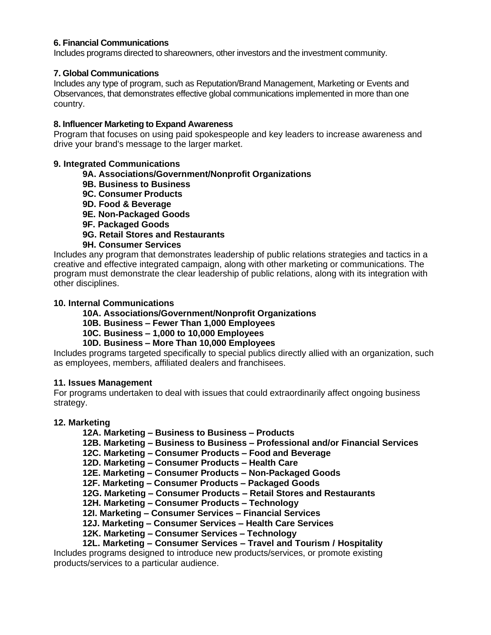## **6. Financial Communications**

Includes programs directed to shareowners, other investors and the investment community.

### **7. Global Communications**

Includes any type of program, such as Reputation/Brand Management, Marketing or Events and Observances, that demonstrates effective global communications implemented in more than one country.

#### **8. Influencer Marketing to Expand Awareness**

Program that focuses on using paid spokespeople and key leaders to increase awareness and drive your brand's message to the larger market.

#### **9. Integrated Communications**

### **9A. Associations/Government/Nonprofit Organizations**

- **9B. Business to Business**
- **9C. Consumer Products**
- **9D. Food & Beverage**
- **9E. Non-Packaged Goods**
- **9F. Packaged Goods**
- **9G. Retail Stores and Restaurants**

### **9H. Consumer Services**

Includes any program that demonstrates leadership of public relations strategies and tactics in a creative and effective integrated campaign, along with other marketing or communications. The program must demonstrate the clear leadership of public relations, along with its integration with other disciplines.

### **10. Internal Communications**

## **10A. Associations/Government/Nonprofit Organizations**

- **10B. Business – Fewer Than 1,000 Employees**
- **10C. Business – 1,000 to 10,000 Employees**

## **10D. Business – More Than 10,000 Employees**

Includes programs targeted specifically to special publics directly allied with an organization, such as employees, members, affiliated dealers and franchisees.

#### **11. Issues Management**

For programs undertaken to deal with issues that could extraordinarily affect ongoing business strategy.

#### **12. Marketing**

**12A. Marketing – Business to Business – Products**

**12B. Marketing – Business to Business – Professional and/or Financial Services**

- **12C. Marketing – Consumer Products – Food and Beverage**
- **12D. Marketing – Consumer Products – Health Care**
- **12E. Marketing – Consumer Products – Non-Packaged Goods**
- **12F. Marketing – Consumer Products – Packaged Goods**
- **12G. Marketing – Consumer Products – Retail Stores and Restaurants**
- **12H. Marketing – Consumer Products – Technology**
- **12I. Marketing – Consumer Services – Financial Services**
- **12J. Marketing – Consumer Services – Health Care Services**
- **12K. Marketing – Consumer Services – Technology**
- **12L. Marketing – Consumer Services – Travel and Tourism / Hospitality**

Includes programs designed to introduce new products/services, or promote existing products/services to a particular audience.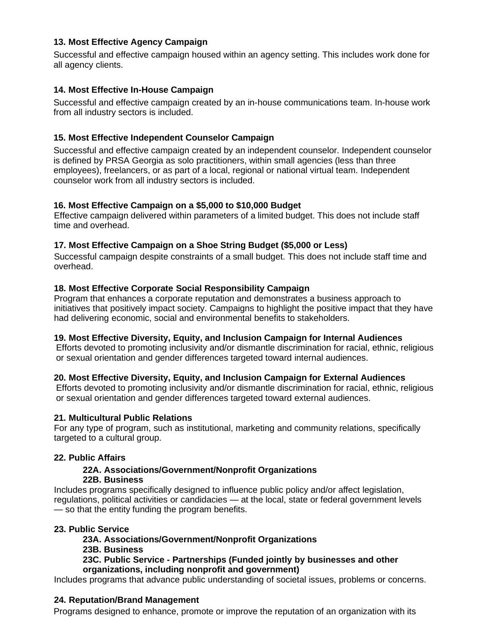# **13. Most Effective Agency Campaign**

Successful and effective campaign housed within an agency setting. This includes work done for all agency clients.

# **14. Most Effective In-House Campaign**

Successful and effective campaign created by an in-house communications team. In-house work from all industry sectors is included.

# **15. Most Effective Independent Counselor Campaign**

Successful and effective campaign created by an independent counselor. Independent counselor is defined by PRSA Georgia as solo practitioners, within small agencies (less than three employees), freelancers, or as part of a local, regional or national virtual team. Independent counselor work from all industry sectors is included.

## **16. Most Effective Campaign on a \$5,000 to \$10,000 Budget**

Effective campaign delivered within parameters of a limited budget. This does not include staff time and overhead.

## **17. Most Effective Campaign on a Shoe String Budget (\$5,000 or Less)**

Successful campaign despite constraints of a small budget. This does not include staff time and overhead.

## **18. Most Effective Corporate Social Responsibility Campaign**

Program that enhances a corporate reputation and demonstrates a business approach to initiatives that positively impact society. Campaigns to highlight the positive impact that they have had delivering economic, social and environmental benefits to stakeholders.

## **19. Most Effective Diversity, Equity, and Inclusion Campaign for Internal Audiences**

Efforts devoted to promoting inclusivity and/or dismantle discrimination for racial, ethnic, religious or sexual orientation and gender differences targeted toward internal audiences.

## **20. Most Effective Diversity, Equity, and Inclusion Campaign for External Audiences**

Efforts devoted to promoting inclusivity and/or dismantle discrimination for racial, ethnic, religious or sexual orientation and gender differences targeted toward external audiences.

## **21. Multicultural Public Relations**

For any type of program, such as institutional, marketing and community relations, specifically targeted to a cultural group.

## **22. Public Affairs**

## **22A. Associations/Government/Nonprofit Organizations 22B. Business**

Includes programs specifically designed to influence public policy and/or affect legislation, regulations, political activities or candidacies — at the local, state or federal government levels — so that the entity funding the program benefits.

## **23. Public Service**

## **23A. Associations/Government/Nonprofit Organizations**

**23B. Business**

### **23C. Public Service - Partnerships (Funded jointly by businesses and other organizations, including nonprofit and government)**

Includes programs that advance public understanding of societal issues, problems or concerns.

## **24. Reputation/Brand Management**

Programs designed to enhance, promote or improve the reputation of an organization with its